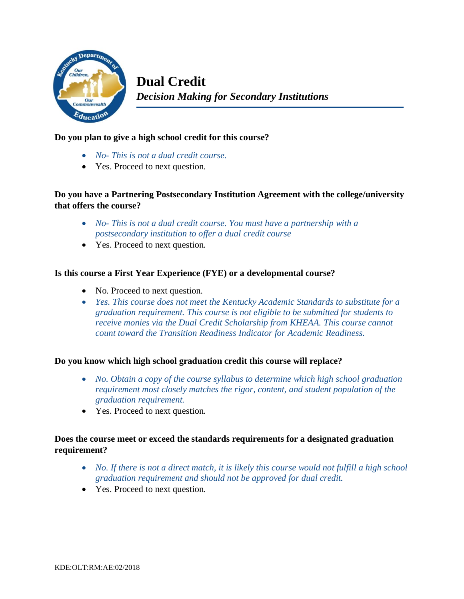

### **Do you plan to give a high school credit for this course?**

- *No- This is not a dual credit course.*
- Yes. Proceed to next question.

# **Do you have a Partnering Postsecondary Institution Agreement with the college/university that offers the course?**

- *No- This is not a dual credit course. You must have a partnership with a postsecondary institution to offer a dual credit course*
- Yes. Proceed to next question.

### **Is this course a First Year Experience (FYE) or a developmental course?**

- No. Proceed to next question.
- *Yes. This course does not meet the Kentucky Academic Standards to substitute for a graduation requirement. This course is not eligible to be submitted for students to receive monies via the Dual Credit Scholarship from KHEAA. This course cannot count toward the Transition Readiness Indicator for Academic Readiness.*

#### **Do you know which high school graduation credit this course will replace?**

- *No. Obtain a copy of the course syllabus to determine which high school graduation requirement most closely matches the rigor, content, and student population of the graduation requirement.*
- Yes. Proceed to next question.

## **Does the course meet or exceed the standards requirements for a designated graduation requirement?**

- *No. If there is not a direct match, it is likely this course would not fulfill a high school graduation requirement and should not be approved for dual credit.*
- Yes. Proceed to next question.